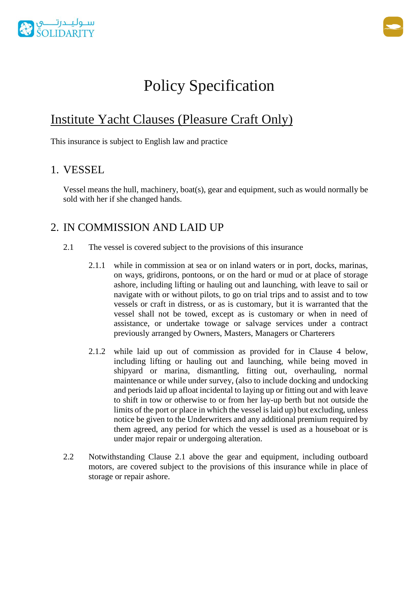



# Policy Specification

## Institute Yacht Clauses (Pleasure Craft Only)

This insurance is subject to English law and practice

### 1. VESSEL

Vessel means the hull, machinery, boat(s), gear and equipment, such as would normally be sold with her if she changed hands.

### 2. IN COMMISSION AND LAID UP

- 2.1 The vessel is covered subject to the provisions of this insurance
	- 2.1.1 while in commission at sea or on inland waters or in port, docks, marinas, on ways, gridirons, pontoons, or on the hard or mud or at place of storage ashore, including lifting or hauling out and launching, with leave to sail or navigate with or without pilots, to go on trial trips and to assist and to tow vessels or craft in distress, or as is customary, but it is warranted that the vessel shall not be towed, except as is customary or when in need of assistance, or undertake towage or salvage services under a contract previously arranged by Owners, Masters, Managers or Charterers
	- 2.1.2 while laid up out of commission as provided for in Clause 4 below, including lifting or hauling out and launching, while being moved in shipyard or marina, dismantling, fitting out, overhauling, normal maintenance or while under survey, (also to include docking and undocking and periods laid up afloat incidental to laying up or fitting out and with leave to shift in tow or otherwise to or from her lay-up berth but not outside the limits of the port or place in which the vessel is laid up) but excluding, unless notice be given to the Underwriters and any additional premium required by them agreed, any period for which the vessel is used as a houseboat or is under major repair or undergoing alteration.
- 2.2 Notwithstanding Clause 2.1 above the gear and equipment, including outboard motors, are covered subject to the provisions of this insurance while in place of storage or repair ashore.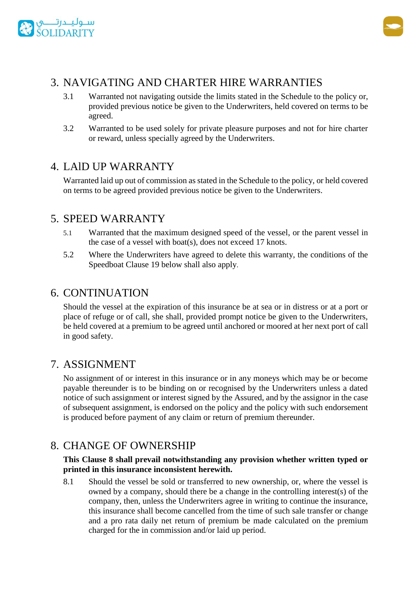



### 3. NAVIGATING AND CHARTER HIRE WARRANTIES

- 3.1 Warranted not navigating outside the limits stated in the Schedule to the policy or, provided previous notice be given to the Underwriters, held covered on terms to be agreed.
- 3.2 Warranted to be used solely for private pleasure purposes and not for hire charter or reward, unless specially agreed by the Underwriters.

### 4. LAlD UP WARRANTY

Warranted laid up out of commission as stated in the Schedule to the policy, or held covered on terms to be agreed provided previous notice be given to the Underwriters.

### 5. SPEED WARRANTY

- 5.1 Warranted that the maximum designed speed of the vessel, or the parent vessel in the case of a vessel with boat(s), does not exceed 17 knots.
- 5.2 Where the Underwriters have agreed to delete this warranty, the conditions of the Speedboat Clause 19 below shall also apply.

### 6. CONTINUATION

Should the vessel at the expiration of this insurance be at sea or in distress or at a port or place of refuge or of call, she shall, provided prompt notice be given to the Underwriters, be held covered at a premium to be agreed until anchored or moored at her next port of call in good safety.

### 7. ASSIGNMENT

No assignment of or interest in this insurance or in any moneys which may be or become payable thereunder is to be binding on or recognised by the Underwriters unless a dated notice of such assignment or interest signed by the Assured, and by the assignor in the case of subsequent assignment, is endorsed on the policy and the policy with such endorsement is produced before payment of any claim or return of premium thereunder.

### 8. CHANGE OF OWNERSHIP

#### **This Clause 8 shall prevail notwithstanding any provision whether written typed or printed in this insurance inconsistent herewith.**

8.1 Should the vessel be sold or transferred to new ownership, or, where the vessel is owned by a company, should there be a change in the controlling interest(s) of the company, then, unless the Underwriters agree in writing to continue the insurance, this insurance shall become cancelled from the time of such sale transfer or change and a pro rata daily net return of premium be made calculated on the premium charged for the in commission and/or laid up period.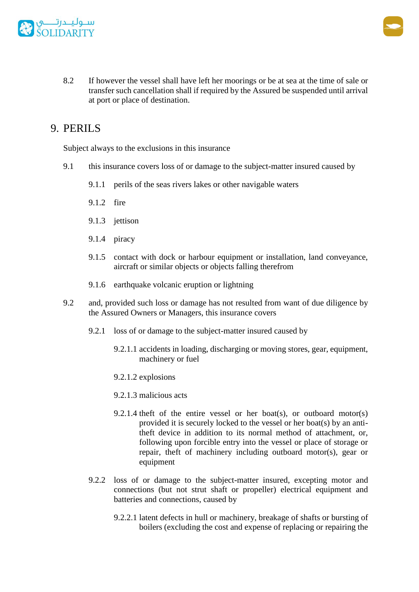



8.2 If however the vessel shall have left her moorings or be at sea at the time of sale or transfer such cancellation shall if required by the Assured be suspended until arrival at port or place of destination.

### 9. PERILS

Subject always to the exclusions in this insurance

- 9.1 this insurance covers loss of or damage to the subject-matter insured caused by
	- 9.1.1 perils of the seas rivers lakes or other navigable waters
	- 9.1.2 fire
	- 9.1.3 jettison
	- 9.1.4 piracy
	- 9.1.5 contact with dock or harbour equipment or installation, land conveyance, aircraft or similar objects or objects falling therefrom
	- 9.1.6 earthquake volcanic eruption or lightning
- 9.2 and, provided such loss or damage has not resulted from want of due diligence by the Assured Owners or Managers, this insurance covers
	- 9.2.1 loss of or damage to the subject-matter insured caused by
		- 9.2.1.1 accidents in loading, discharging or moving stores, gear, equipment, machinery or fuel
		- 9.2.1.2 explosions
		- 9.2.1.3 malicious acts
		- 9.2.1.4 theft of the entire vessel or her boat(s), or outboard motor(s) provided it is securely locked to the vessel or her boat(s) by an antitheft device in addition to its normal method of attachment, or, following upon forcible entry into the vessel or place of storage or repair, theft of machinery including outboard motor(s), gear or equipment
	- 9.2.2 loss of or damage to the subject-matter insured, excepting motor and connections (but not strut shaft or propeller) electrical equipment and batteries and connections, caused by
		- 9.2.2.1 latent defects in hull or machinery, breakage of shafts or bursting of boilers (excluding the cost and expense of replacing or repairing the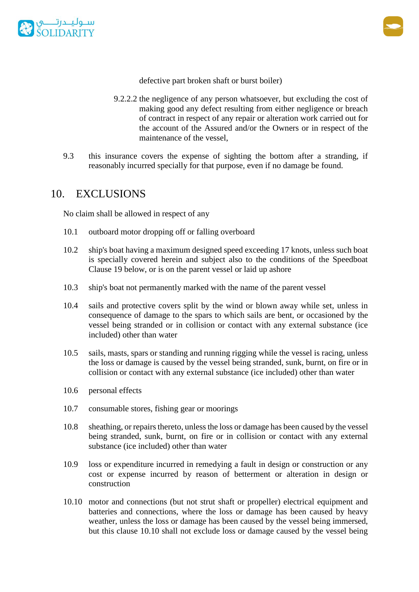



defective part broken shaft or burst boiler)

- 9.2.2.2 the negligence of any person whatsoever, but excluding the cost of making good any defect resulting from either negligence or breach of contract in respect of any repair or alteration work carried out for the account of the Assured and/or the Owners or in respect of the maintenance of the vessel,
- 9.3 this insurance covers the expense of sighting the bottom after a stranding, if reasonably incurred specially for that purpose, even if no damage be found.

### 10. EXCLUSIONS

No claim shall be allowed in respect of any

- 10.1 outboard motor dropping off or falling overboard
- 10.2 ship's boat having a maximum designed speed exceeding 17 knots, unless such boat is specially covered herein and subject also to the conditions of the Speedboat Clause 19 below, or is on the parent vessel or laid up ashore
- 10.3 ship's boat not permanently marked with the name of the parent vessel
- 10.4 sails and protective covers split by the wind or blown away while set, unless in consequence of damage to the spars to which sails are bent, or occasioned by the vessel being stranded or in collision or contact with any external substance (ice included) other than water
- 10.5 sails, masts, spars or standing and running rigging while the vessel is racing, unless the loss or damage is caused by the vessel being stranded, sunk, burnt, on fire or in collision or contact with any external substance (ice included) other than water
- 10.6 personal effects
- 10.7 consumable stores, fishing gear or moorings
- 10.8 sheathing, or repairs thereto, unless the loss or damage has been caused by the vessel being stranded, sunk, burnt, on fire or in collision or contact with any external substance (ice included) other than water
- 10.9 loss or expenditure incurred in remedying a fault in design or construction or any cost or expense incurred by reason of betterment or alteration in design or construction
- 10.10 motor and connections (but not strut shaft or propeller) electrical equipment and batteries and connections, where the loss or damage has been caused by heavy weather, unless the loss or damage has been caused by the vessel being immersed, but this clause 10.10 shall not exclude loss or damage caused by the vessel being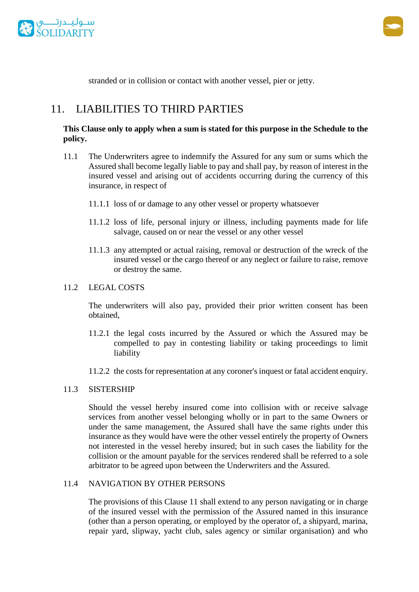



stranded or in collision or contact with another vessel, pier or jetty.

### 11. LIABILITIES TO THIRD PARTIES

#### **This Clause only to apply when a sum is stated for this purpose in the Schedule to the policy.**

- 11.1 The Underwriters agree to indemnify the Assured for any sum or sums which the Assured shall become legally liable to pay and shall pay, by reason of interest in the insured vessel and arising out of accidents occurring during the currency of this insurance, in respect of
	- 11.1.1 loss of or damage to any other vessel or property whatsoever
	- 11.1.2 loss of life, personal injury or illness, including payments made for life salvage, caused on or near the vessel or any other vessel
	- 11.1.3 any attempted or actual raising, removal or destruction of the wreck of the insured vessel or the cargo thereof or any neglect or failure to raise, remove or destroy the same.

#### 11.2 LEGAL COSTS

The underwriters will also pay, provided their prior written consent has been obtained,

- 11.2.1 the legal costs incurred by the Assured or which the Assured may be compelled to pay in contesting liability or taking proceedings to limit liability
- 11.2.2 the costs for representation at any coroner's inquest or fatal accident enquiry.

#### 11.3 SISTERSHIP

Should the vessel hereby insured come into collision with or receive salvage services from another vessel belonging wholly or in part to the same Owners or under the same management, the Assured shall have the same rights under this insurance as they would have were the other vessel entirely the property of Owners not interested in the vessel hereby insured; but in such cases the liability for the collision or the amount payable for the services rendered shall be referred to a sole arbitrator to be agreed upon between the Underwriters and the Assured.

#### 11.4 NAVIGATION BY OTHER PERSONS

The provisions of this Clause 11 shall extend to any person navigating or in charge of the insured vessel with the permission of the Assured named in this insurance (other than a person operating, or employed by the operator of, a shipyard, marina, repair yard, slipway, yacht club, sales agency or similar organisation) and who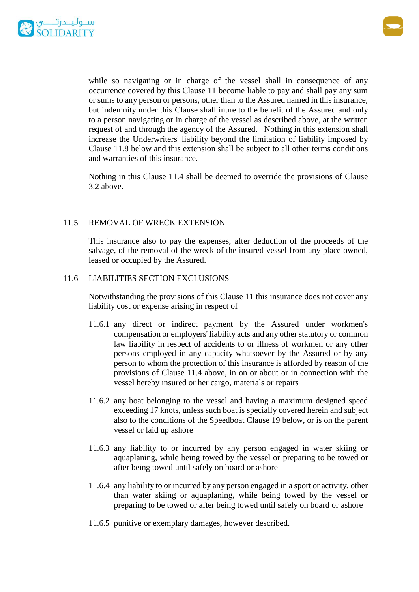



while so navigating or in charge of the vessel shall in consequence of any occurrence covered by this Clause 11 become liable to pay and shall pay any sum or sums to any person or persons, other than to the Assured named in this insurance, but indemnity under this Clause shall inure to the benefit of the Assured and only to a person navigating or in charge of the vessel as described above, at the written request of and through the agency of the Assured. Nothing in this extension shall increase the Underwriters' liability beyond the limitation of liability imposed by Clause 11.8 below and this extension shall be subject to all other terms conditions and warranties of this insurance.

Nothing in this Clause 11.4 shall be deemed to override the provisions of Clause 3.2 above.

#### 11.5 REMOVAL OF WRECK EXTENSION

This insurance also to pay the expenses, after deduction of the proceeds of the salvage, of the removal of the wreck of the insured vessel from any place owned, leased or occupied by the Assured.

#### 11.6 LIABILITIES SECTION EXCLUSIONS

Notwithstanding the provisions of this Clause 11 this insurance does not cover any liability cost or expense arising in respect of

- 11.6.1 any direct or indirect payment by the Assured under workmen's compensation or employers' liability acts and any other statutory or common law liability in respect of accidents to or illness of workmen or any other persons employed in any capacity whatsoever by the Assured or by any person to whom the protection of this insurance is afforded by reason of the provisions of Clause 11.4 above, in on or about or in connection with the vessel hereby insured or her cargo, materials or repairs
- 11.6.2 any boat belonging to the vessel and having a maximum designed speed exceeding 17 knots, unless such boat is specially covered herein and subject also to the conditions of the Speedboat Clause 19 below, or is on the parent vessel or laid up ashore
- 11.6.3 any liability to or incurred by any person engaged in water skiing or aquaplaning, while being towed by the vessel or preparing to be towed or after being towed until safely on board or ashore
- 11.6.4 any liability to or incurred by any person engaged in a sport or activity, other than water skiing or aquaplaning, while being towed by the vessel or preparing to be towed or after being towed until safely on board or ashore
- 11.6.5 punitive or exemplary damages, however described.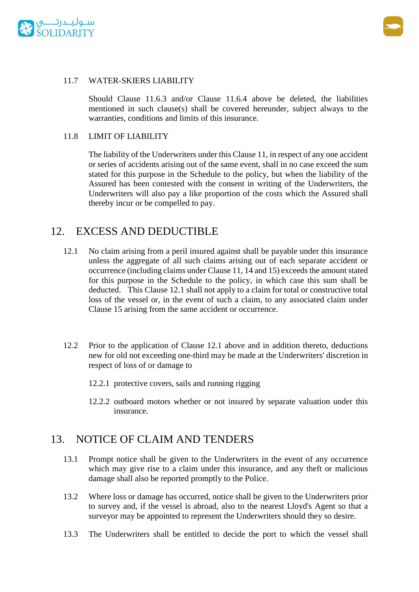



#### 11.7 WATER-SKIERS LIABILITY

Should Clause 11.6.3 and/or Clause 11.6.4 above be deleted, the liabilities mentioned in such clause(s) shall be covered hereunder, subject always to the warranties, conditions and limits of this insurance.

#### 11.8 LIMIT OF LIABILITY

The liability of the Underwriters under this Clause 11, in respect of any one accident or series of accidents arising out of the same event, shall in no case exceed the sum stated for this purpose in the Schedule to the policy, but when the liability of the Assured has been contested with the consent in writing of the Underwriters, the Underwriters will also pay a like proportion of the costs which the Assured shall thereby incur or be compelled to pay.

### 12. EXCESS AND DEDUCTIBLE

- 12.1 No claim arising from a peril insured against shall be payable under this insurance unless the aggregate of all such claims arising out of each separate accident or occurrence (including claims under Clause 11, 14 and 15) exceeds the amount stated for this purpose in the Schedule to the policy, in which case this sum shall be deducted. This Clause 12.1 shall not apply to a claim for total or constructive total loss of the vessel or, in the event of such a claim, to any associated claim under Clause 15 arising from the same accident or occurrence.
- 12.2 Prior to the application of Clause 12.1 above and in addition thereto, deductions new for old not exceeding one-third may be made at the Underwriters' discretion in respect of loss of or damage to
	- 12.2.1 protective covers, sails and running rigging
	- 12.2.2 outboard motors whether or not insured by separate valuation under this insurance.

#### 13. NOTICE OF CLAIM AND TENDERS

- 13.1 Prompt notice shall be given to the Underwriters in the event of any occurrence which may give rise to a claim under this insurance, and any theft or malicious damage shall also be reported promptly to the Police.
- 13.2 Where loss or damage has occurred, notice shall be given to the Underwriters prior to survey and, if the vessel is abroad, also to the nearest Lloyd's Agent so that a surveyor may be appointed to represent the Underwriters should they so desire.
- 13.3 The Underwriters shall be entitled to decide the port to which the vessel shall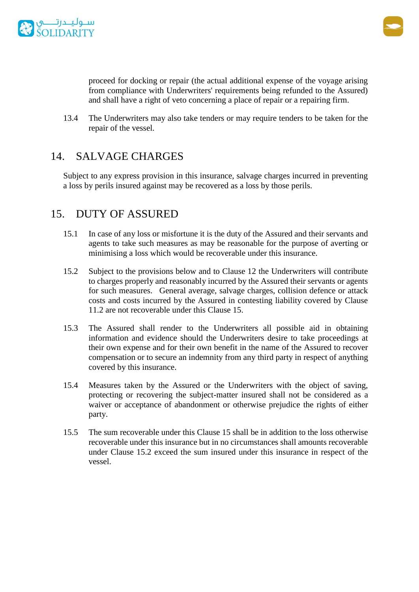



proceed for docking or repair (the actual additional expense of the voyage arising from compliance with Underwriters' requirements being refunded to the Assured) and shall have a right of veto concerning a place of repair or a repairing firm.

13.4 The Underwriters may also take tenders or may require tenders to be taken for the repair of the vessel.

### 14. SALVAGE CHARGES

Subject to any express provision in this insurance, salvage charges incurred in preventing a loss by perils insured against may be recovered as a loss by those perils.

### 15. DUTY OF ASSURED

- 15.1 In case of any loss or misfortune it is the duty of the Assured and their servants and agents to take such measures as may be reasonable for the purpose of averting or minimising a loss which would be recoverable under this insurance.
- 15.2 Subject to the provisions below and to Clause 12 the Underwriters will contribute to charges properly and reasonably incurred by the Assured their servants or agents for such measures. General average, salvage charges, collision defence or attack costs and costs incurred by the Assured in contesting liability covered by Clause 11.2 are not recoverable under this Clause 15.
- 15.3 The Assured shall render to the Underwriters all possible aid in obtaining information and evidence should the Underwriters desire to take proceedings at their own expense and for their own benefit in the name of the Assured to recover compensation or to secure an indemnity from any third party in respect of anything covered by this insurance.
- 15.4 Measures taken by the Assured or the Underwriters with the object of saving, protecting or recovering the subject-matter insured shall not be considered as a waiver or acceptance of abandonment or otherwise prejudice the rights of either party.
- 15.5 The sum recoverable under this Clause 15 shall be in addition to the loss otherwise recoverable under this insurance but in no circumstances shall amounts recoverable under Clause 15.2 exceed the sum insured under this insurance in respect of the vessel.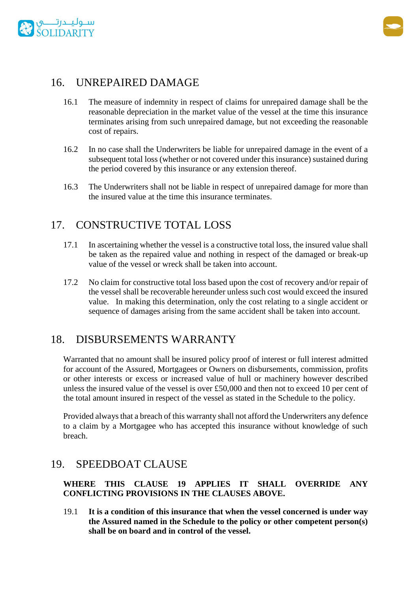



### 16. UNREPAIRED DAMAGE

- 16.1 The measure of indemnity in respect of claims for unrepaired damage shall be the reasonable depreciation in the market value of the vessel at the time this insurance terminates arising from such unrepaired damage, but not exceeding the reasonable cost of repairs.
- 16.2 In no case shall the Underwriters be liable for unrepaired damage in the event of a subsequent total loss (whether or not covered under this insurance) sustained during the period covered by this insurance or any extension thereof.
- 16.3 The Underwriters shall not be liable in respect of unrepaired damage for more than the insured value at the time this insurance terminates.

### 17. CONSTRUCTIVE TOTAL LOSS

- 17.1 In ascertaining whether the vessel is a constructive total loss, the insured value shall be taken as the repaired value and nothing in respect of the damaged or break-up value of the vessel or wreck shall be taken into account.
- 17.2 No claim for constructive total loss based upon the cost of recovery and/or repair of the vessel shall be recoverable hereunder unless such cost would exceed the insured value. In making this determination, only the cost relating to a single accident or sequence of damages arising from the same accident shall be taken into account.

### 18. DISBURSEMENTS WARRANTY

Warranted that no amount shall be insured policy proof of interest or full interest admitted for account of the Assured, Mortgagees or Owners on disbursements, commission, profits or other interests or excess or increased value of hull or machinery however described unless the insured value of the vessel is over £50,000 and then not to exceed 10 per cent of the total amount insured in respect of the vessel as stated in the Schedule to the policy.

Provided always that a breach of this warranty shall not afford the Underwriters any defence to a claim by a Mortgagee who has accepted this insurance without knowledge of such breach.

### 19. SPEEDBOAT CLAUSE

#### **WHERE THIS CLAUSE 19 APPLIES IT SHALL OVERRIDE ANY CONFLICTING PROVISIONS IN THE CLAUSES ABOVE.**

19.1 **It is a condition of this insurance that when the vessel concerned is under way the Assured named in the Schedule to the policy or other competent person(s) shall be on board and in control of the vessel.**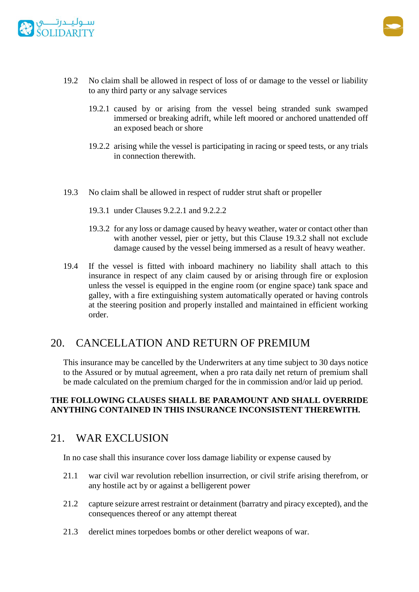



- 19.2 No claim shall be allowed in respect of loss of or damage to the vessel or liability to any third party or any salvage services
	- 19.2.1 caused by or arising from the vessel being stranded sunk swamped immersed or breaking adrift, while left moored or anchored unattended off an exposed beach or shore
	- 19.2.2 arising while the vessel is participating in racing or speed tests, or any trials in connection therewith.
- 19.3 No claim shall be allowed in respect of rudder strut shaft or propeller
	- 19.3.1 under Clauses 9.2.2.1 and 9.2.2.2
	- 19.3.2 for any loss or damage caused by heavy weather, water or contact other than with another vessel, pier or jetty, but this Clause 19.3.2 shall not exclude damage caused by the vessel being immersed as a result of heavy weather.
- 19.4 If the vessel is fitted with inboard machinery no liability shall attach to this insurance in respect of any claim caused by or arising through fire or explosion unless the vessel is equipped in the engine room (or engine space) tank space and galley, with a fire extinguishing system automatically operated or having controls at the steering position and properly installed and maintained in efficient working order.

### 20. CANCELLATION AND RETURN OF PREMIUM

This insurance may be cancelled by the Underwriters at any time subject to 30 days notice to the Assured or by mutual agreement, when a pro rata daily net return of premium shall be made calculated on the premium charged for the in commission and/or laid up period.

#### **THE FOLLOWING CLAUSES SHALL BE PARAMOUNT AND SHALL OVERRIDE ANYTHING CONTAINED IN THIS INSURANCE INCONSISTENT THEREWITH.**

### 21. WAR EXCLUSION

In no case shall this insurance cover loss damage liability or expense caused by

- 21.1 war civil war revolution rebellion insurrection, or civil strife arising therefrom, or any hostile act by or against a belligerent power
- 21.2 capture seizure arrest restraint or detainment (barratry and piracy excepted), and the consequences thereof or any attempt thereat
- 21.3 derelict mines torpedoes bombs or other derelict weapons of war.